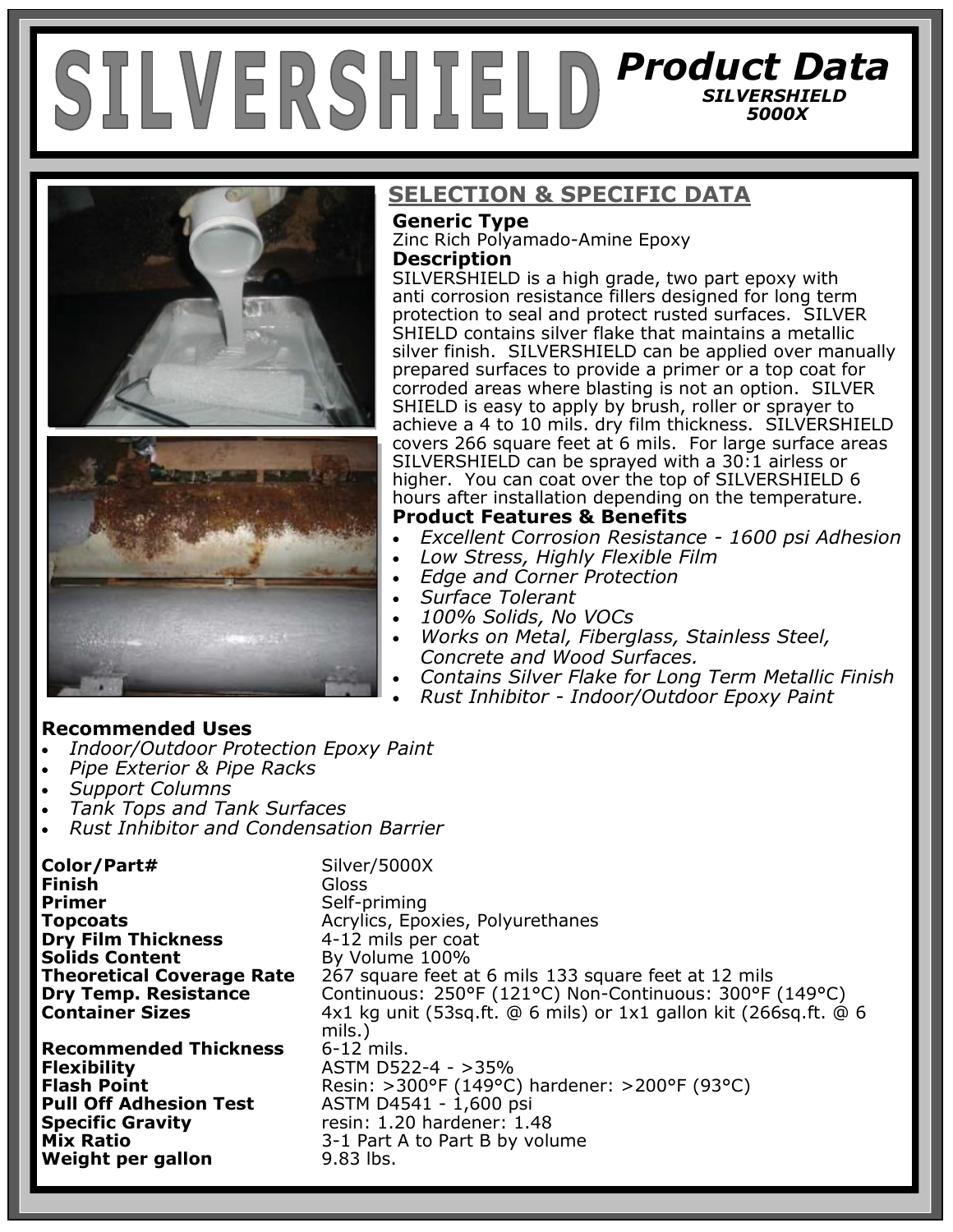# *Product Data SILVERSHIELD 5000X*





## **SELECTION & SPECIFIC DATA**

## **Generic Type**

Zinc Rich Polyamado-Amine Epoxy **Description**

SILVERSHIELD is a high grade, two part epoxy with anti corrosion resistance fillers designed for long term protection to seal and protect rusted surfaces. SILVER SHIELD contains silver flake that maintains a metallic silver finish. SILVERSHIELD can be applied over manually prepared surfaces to provide a primer or a top coat for corroded areas where blasting is not an option. SILVER SHIELD is easy to apply by brush, roller or sprayer to achieve a 4 to 10 mils. dry film thickness. SILVERSHIELD covers 266 square feet at 6 mils. For large surface areas SILVERSHIELD can be sprayed with a 30:1 airless or higher. You can coat over the top of SILVERSHIELD 6 hours after installation depending on the temperature. **Product Features & Benefits**

- *Excellent Corrosion Resistance - 1600 psi Adhesion*
- *Low Stress, Highly Flexible Film*
- *Edge and Corner Protection*
- *Surface Tolerant*
- *100% Solids, No VOCs*
- *Works on Metal, Fiberglass, Stainless Steel, Concrete and Wood Surfaces.*
- *Contains Silver Flake for Long Term Metallic Finish*
- *Rust Inhibitor - Indoor/Outdoor Epoxy Paint*

#### **Recommended Uses**

- *Indoor/Outdoor Protection Epoxy Paint*
- *Pipe Exterior & Pipe Racks*
- *Support Columns*
- *Tank Tops and Tank Surfaces*
- *Rust Inhibitor and Condensation Barrier*

**Color/Part#** Silver/5000X **Finish** Gloss **Primer** Self-priming **Topcoats Acrylics, Epoxies, Polyurethanes**<br> **Dry Film Thickness A-12** mils per coat **Dry Film Thickness Solids Content** By Volume 100%<br>**Theoretical Coverage Rate** 267 square feet a **Theoretical Coverage Rate** 267 square feet at 6 mils 133 square feet at 12 mils **Dry Temp. Resistance Continuous: 250°F** (121°C) Non-Continuous: 300°F **Dry Temp. Resistance** Continuous: 250°F (121°C) Non-Continuous: 300°F (149°C) **Container Sizes** 4x1 kg unit (53sq.ft. @ 6 mils) or 1x1 gallon kit (266sq.ft. @ 6 mils.)<br>6-12 mils. **Recommended Thickness Flexibility** ASTM D522-4 - >35% **Flash Point Resin: >300°F (149°C) hardener: >200°F (93°C)**<br>**Pull Off Adhesion Test ASTM D4541 - 1,600 psi Pull Off Adhesion Test** ASTM D4541 - 1,600 psi<br> **Specific Gravity** entity resin: 1.20 hardener: 1.4 **Specific Gravity** resin: 1.20 hardener: 1.48 **Mix Ratio** 3-1 Part A to Part B by volume **Weight per gallon 9.83 lbs.**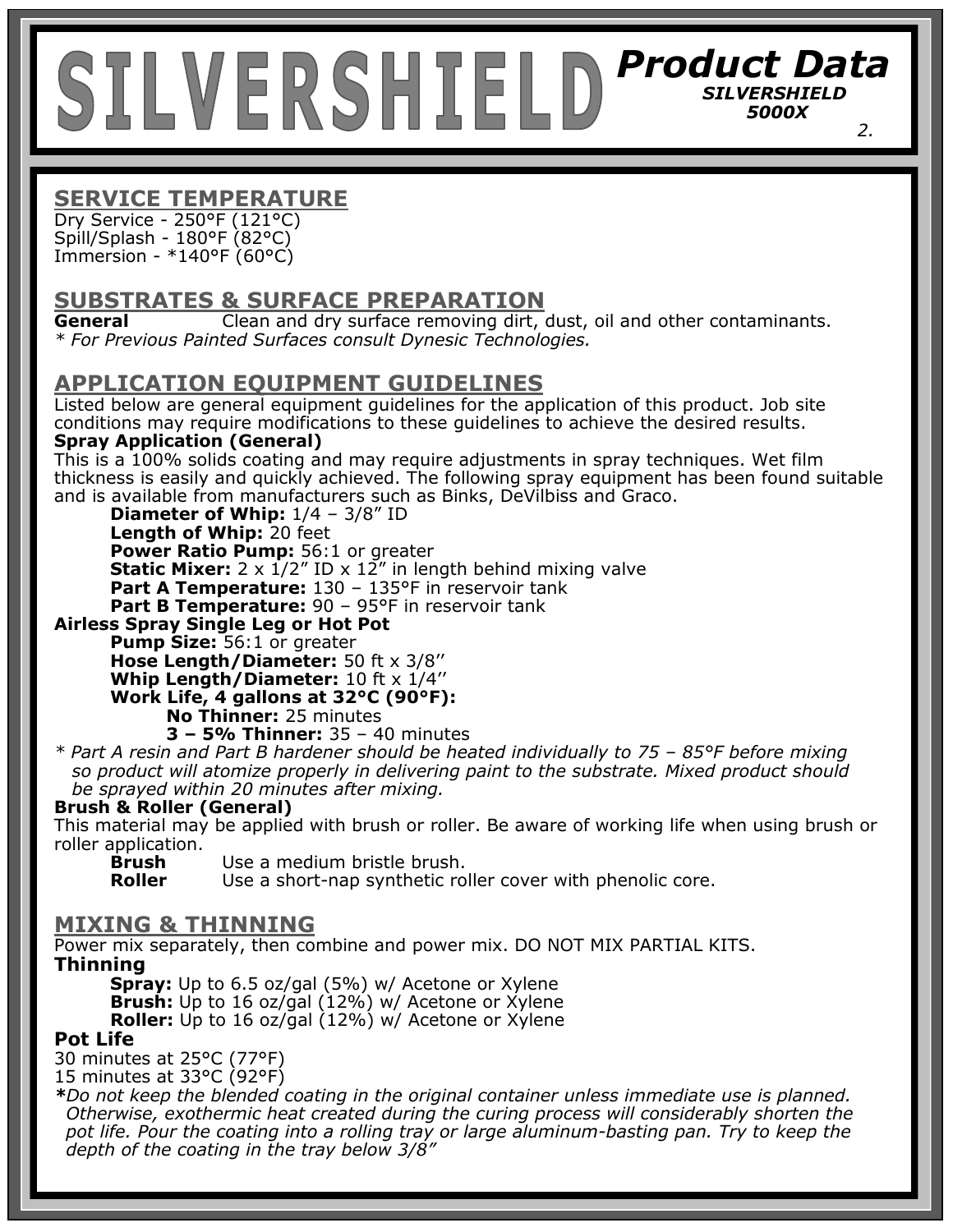## *Product Data SILVERSHIELD 5000X 2.*

## **SERVICE TEMPERATURE**

Dry Service - 250°F (121°C) Spill/Splash - 180°F (82°C) Immersion - \*140°F (60°C)

## **SUBSTRATES & SURFACE PREPARATION**

**General** Clean and dry surface removing dirt, dust, oil and other contaminants. *\* For Previous Painted Surfaces consult Dynesic Technologies.*

## **APPLICATION EQUIPMENT GUIDELINES**

Listed below are general equipment guidelines for the application of this product. Job site conditions may require modifications to these guidelines to achieve the desired results.

#### **Spray Application (General)**

This is a 100% solids coating and may require adjustments in spray techniques. Wet film thickness is easily and quickly achieved. The following spray equipment has been found suitable and is available from manufacturers such as Binks, DeVilbiss and Graco.

**Diameter of Whip:**  $1/4 - 3/8"$  ID

**Length of Whip:** 20 feet

**Power Ratio Pump:** 56:1 or greater

**Static Mixer:** 2 x 1/2" ID x 12" in length behind mixing valve

**Part A Temperature:** 130 – 135°F in reservoir tank

**Part B Temperature:** 90 - 95°F in reservoir tank

### **Airless Spray Single Leg or Hot Pot**

**Pump Size:** 56:1 or greater

**Hose Length/Diameter:** 50 ft x 3/8''

**Whip Length/Diameter:** 10 ft x 1/4''

**Work Life, 4 gallons at 32°C (90°F):** 

**No Thinner:** 25 minutes

**3 – 5% Thinner:** 35 – 40 minutes

*\* Part A resin and Part B hardener should be heated individually to 75 – 85°F before mixing so product will atomize properly in delivering paint to the substrate. Mixed product should be sprayed within 20 minutes after mixing.* 

#### **Brush & Roller (General)**

This material may be applied with brush or roller. Be aware of working life when using brush or roller application.

**Brush** Use a medium bristle brush.

**Roller** Use a short-nap synthetic roller cover with phenolic core.

#### **MIXING & THINNING**

Power mix separately, then combine and power mix. DO NOT MIX PARTIAL KITS. **Thinning** 

**Spray:** Up to 6.5 oz/gal (5%) w/ Acetone or Xylene **Brush:** Up to 16 oz/gal (12%) w/ Acetone or Xylene **Roller:** Up to 16 oz/gal (12%) w/ Acetone or Xylene

#### **Pot Life**

30 minutes at 25°C (77°F)

15 minutes at 33°C (92°F)

*\*Do not keep the blended coating in the original container unless immediate use is planned. Otherwise, exothermic heat created during the curing process will considerably shorten the pot life. Pour the coating into a rolling tray or large aluminum-basting pan. Try to keep the depth of the coating in the tray below 3/8"*